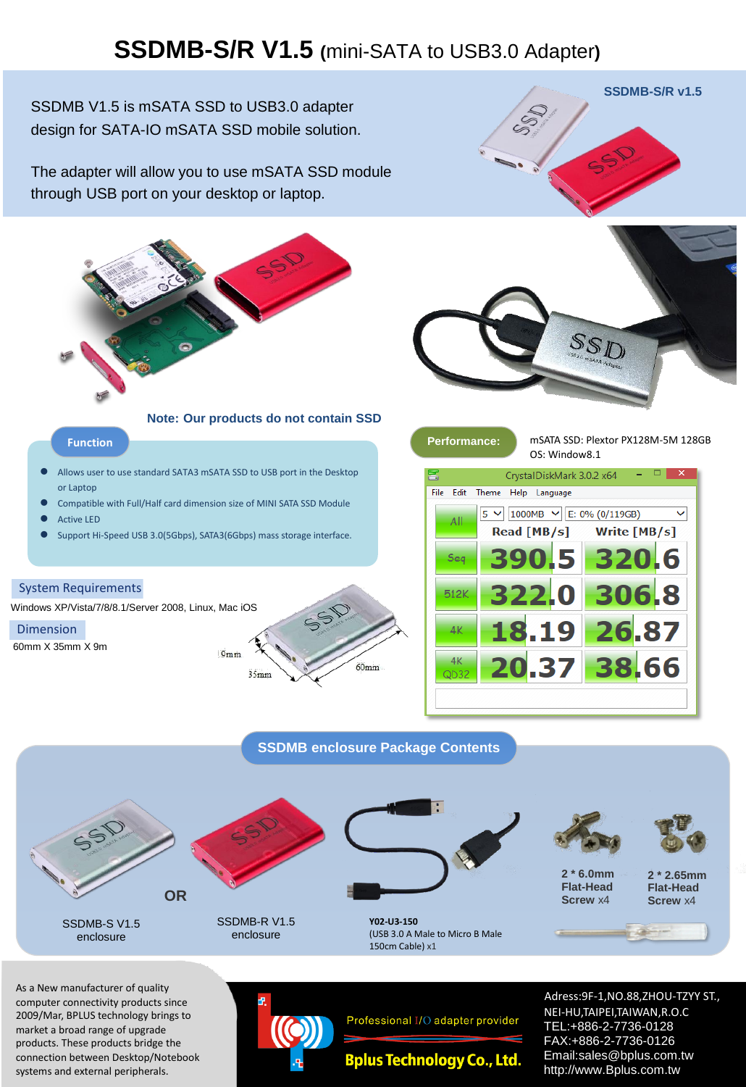### **SSDMB-S/R V1.5 (**mini-SATA to USB3.0 Adapter**)**

SSDMB V1.5 is mSATA SSD to USB3.0 adapter design for SATA-IO mSATA SSD mobile solution.

The adapter will allow you to use mSATA SSD module through USB port on your desktop or laptop.



**Note: Our products do not contain SSD**

#### **Function Performance:** mSATA SSD: Plextor PX128M-5M 128GB

- Allows user to use standard SATA3 mSATA SSD to USB port in the Desktop or Laptop
- Compatible with Full/Half card dimension size of MINI SATA SSD Module
- Active LED
- Support Hi-Speed USB 3.0(5Gbps), SATA3(6Gbps) mass storage interface.

#### System Requirements

Windows XP/Vista/7/8/8.1/Server 2008, Linux, Mac iOS

#### Dimension

60mm X 35mm X 9m







| OS: Window8.1                             |                                                             |              |
|-------------------------------------------|-------------------------------------------------------------|--------------|
| E<br>×<br>CrystalDiskMark 3.0.2 x64       |                                                             |              |
| Edit<br>File<br>Theme<br>Help<br>Language |                                                             |              |
| All                                       | 1000MB $\vee$ E: 0% (0/119GB)<br>$5^{\circ}$<br>Read [MB/s] | Write [MB/s] |
| Seq                                       | 390.5                                                       | 320.6        |
| 512K                                      | 322.0                                                       | 306.8        |
| 4K                                        | 18.19                                                       | 26.87        |
| 4K<br>QD32                                | 20.37                                                       | 38.66        |
|                                           |                                                             |              |

**SSDMB enclosure Package Contents**



SSDMB-S V1.5 enclosure



SSDMB-R V1.5 enclosure



**Y02-U3-150** (USB 3.0 A Male to Micro B Male 150cm Cable) x1





**2 \* 6.0mm Flat-Head Screw** x4

**2 \* 2.65mm Flat-Head Screw** x4

As a New manufacturer of quality computer connectivity products since 2009/Mar, BPLUS technology brings to market a broad range of upgrade products. These products bridge the connection between Desktop/Notebook systems and external peripherals.



Professional I/O adapter provider

**Bplus Technology Co., Ltd.** 

Adress:9F-1,NO.88,ZHOU-TZYY ST., NEI-HU,TAIPEI,TAIWAN,R.O.C TEL:+886-2-7736-0128 FAX:+886-2-7736-0126 Email:sales@bplus.com.tw http://www.Bplus.com.tw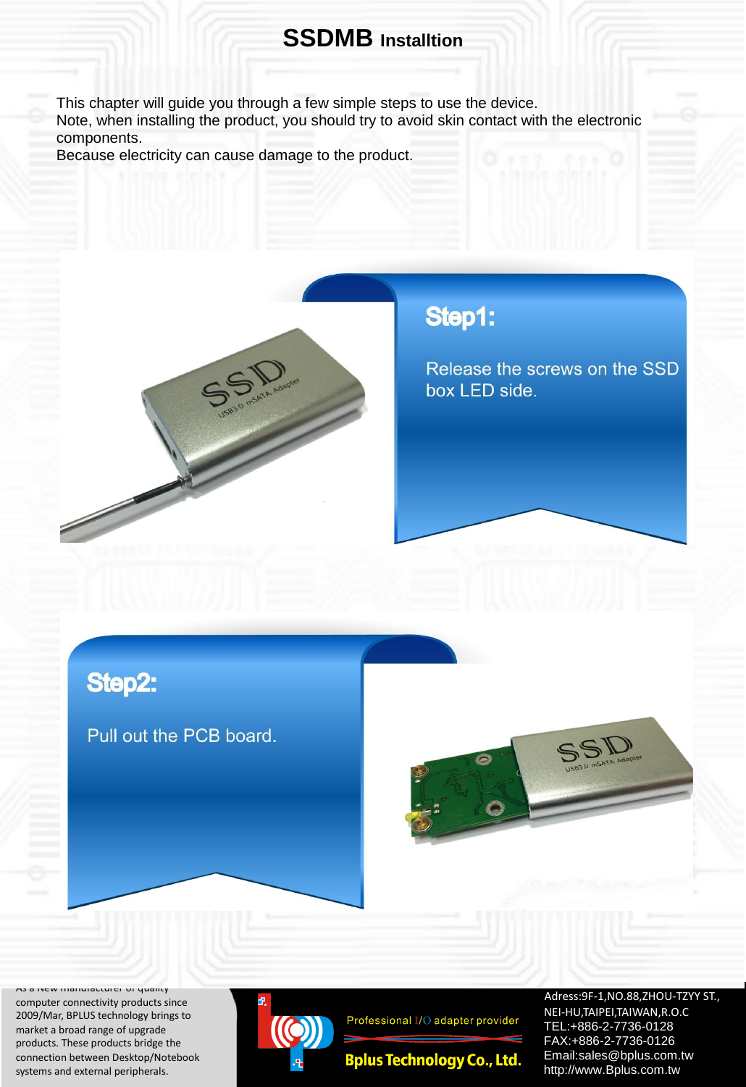#### **SSDMB Installtion**

This chapter will guide you through a few simple steps to use the device.

Note, when installing the product, you should try to avoid skin contact with the electronic components.

Because electricity can cause damage to the product.



### Step1:

Release the screws on the SSD box LED side.

### Step2:

Pull out the PCB board.



As a New manufacturer of quality computer connectivity products since 2009/Mar, BPLUS technology brings to market a broad range of upgrade products. These products bridge the connection between Desktop/Notebook systems and external peripherals.



Professional I/O adapter provider

**Bplus Technology Co., Ltd.** 

Adress:9F-1,NO.88,ZHOU-TZYY ST., NEI-HU,TAIPEI,TAIWAN,R.O.C TEL:+886-2-7736-0128 FAX:+886-2-7736-0126 Email:sales@bplus.com.tw http://www.Bplus.com.tw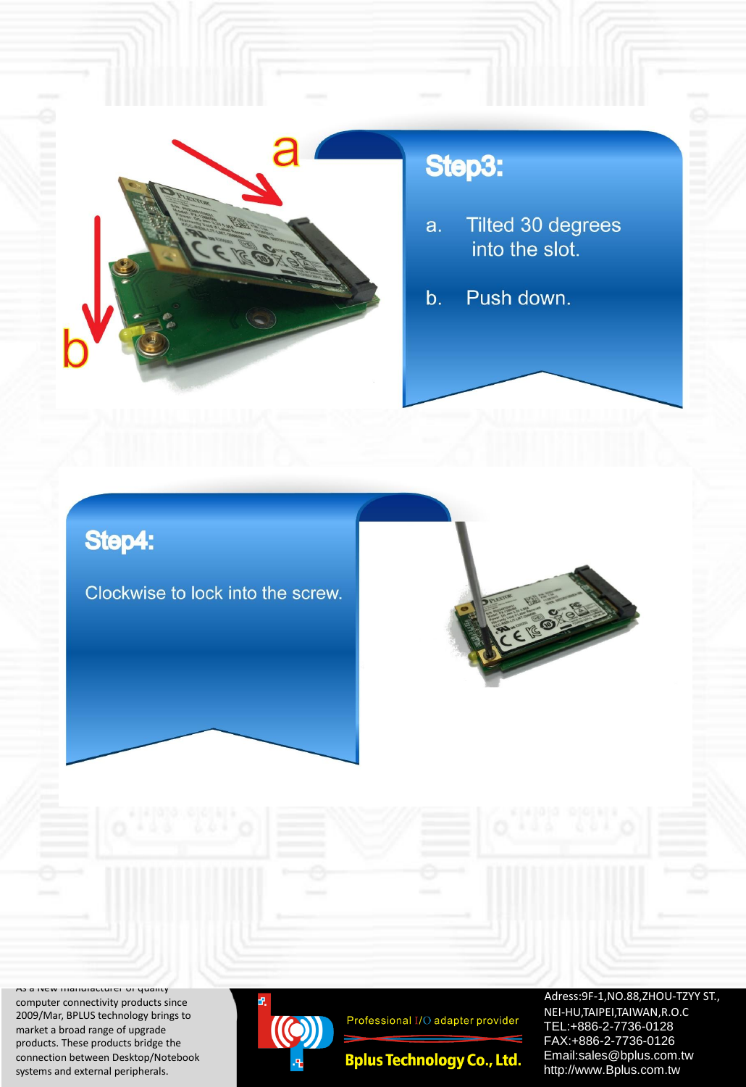

# Step3:

- Tilted 30 degrees a. into the slot.
- Push down. b.

# Step4:

Clockwise to lock into the screw.



As a INEW manufacturer or quality computer connectivity products since 2009/Mar, BPLUS technology brings to market a broad range of upgrade products. These products bridge the connection between Desktop/Notebook systems and external peripherals.



Professional I/O adapter provider

**Bplus Technology Co., Ltd.** 

Adress: 9F-1, NO.88, ZHOU-TZYY ST., NEI -HU,TAIPEI,TAIWAN,R.O.C TEL : +886 - 2 -7736 -0128 FAX : +886 - 2 -7736 -0126 Email:sales@bplus.com.tw http://www.Bplus.com.tw